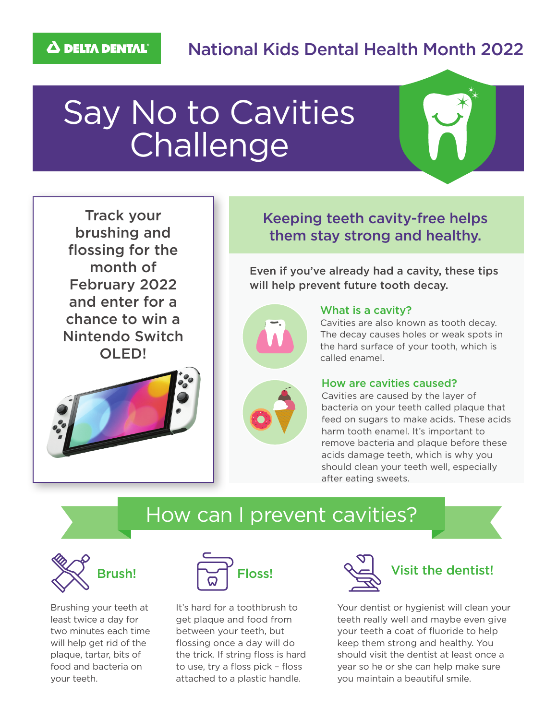### National Kids Dental Health Month 2022

# Say No to Cavities **Challenge**



Track your brushing and flossing for the month of February 2022 and enter for a chance to win a Nintendo Switch OLED!



### Keeping teeth cavity-free helps them stay strong and healthy.

Even if you've already had a cavity, these tips will help prevent future tooth decay.



#### What is a cavity?

Cavities are also known as tooth decay. The decay causes holes or weak spots in the hard surface of your tooth, which is called enamel.



#### How are cavities caused?

Cavities are caused by the layer of bacteria on your teeth called plaque that feed on sugars to make acids. These acids harm tooth enamel. It's important to remove bacteria and plaque before these acids damage teeth, which is why you should clean your teeth well, especially after eating sweets.

### How can I prevent cavities?



Brushing your teeth at least twice a day for two minutes each time will help get rid of the plaque, tartar, bits of food and bacteria on your teeth.



It's hard for a toothbrush to get plaque and food from between your teeth, but flossing once a day will do the trick. If string floss is hard to use, try a floss pick – floss attached to a plastic handle.



## Brush!  $\sum_{\text{Floss}!}$  Floss!  $\sum_{\text{A}}$  Visit the dentist!

Your dentist or hygienist will clean your teeth really well and maybe even give your teeth a coat of fluoride to help keep them strong and healthy. You should visit the dentist at least once a year so he or she can help make sure you maintain a beautiful smile.